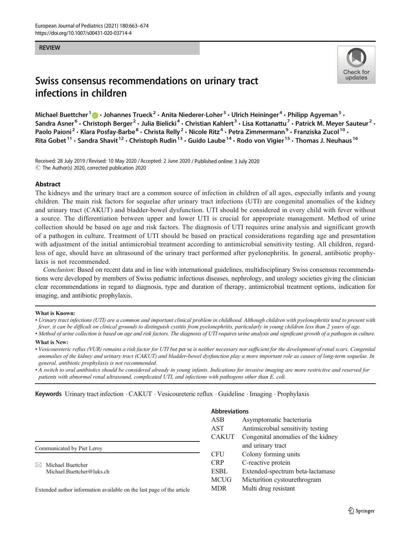#### REVIEW



# Swiss consensus recommendations on urinary tract infections in children

Michael Buettcher  $1 \oplus \cdot$  Johannes Trueck<sup>2</sup>  $\cdot$  Anita Niederer-Loher  $^3 \cdot$  Ulrich Heininger  $^4 \cdot$  Philipp Agyeman  $^5 \cdot$ Sandra Asner<sup>6</sup> • Christoph Berger<sup>2</sup> • Julia Bielicki<sup>4</sup> • Christian Kahlert<sup>3</sup> • Lisa Kottanattu<sup>7</sup> • Patrick M. Meyer Sauteur<sup>2</sup> • Paolo Paioni<sup>2</sup> • Klara Posfay-Barbe<sup>8</sup> • Christa Relly<sup>2</sup> • Nicole Ritz<sup>4</sup> • Petra Zimmermann<sup>9</sup> • Franziska Zucol<sup>10</sup> • Rita Gobet  $11 \cdot$  Sandra Shavit  $12 \cdot$  Christoph Rudin  $13 \cdot$  Guido Laube  $14 \cdot$  Rodo von Vigier  $15 \cdot$  Thomas J. Neuhaus  $16$ 

Received: 28 July 2019 / Revised: 10 May 2020 /Accepted: 2 June 2020 / Published online: 3 July 2020  $\odot$  The Author(s) 2020, corrected publication 2020

#### Abstract

The kidneys and the urinary tract are a common source of infection in children of all ages, especially infants and young children. The main risk factors for sequelae after urinary tract infections (UTI) are congenital anomalies of the kidney and urinary tract (CAKUT) and bladder-bowel dysfunction. UTI should be considered in every child with fever without a source. The differentiation between upper and lower UTI is crucial for appropriate management. Method of urine collection should be based on age and risk factors. The diagnosis of UTI requires urine analysis and significant growth of a pathogen in culture. Treatment of UTI should be based on practical considerations regarding age and presentation with adjustment of the initial antimicrobial treatment according to antimicrobial sensitivity testing. All children, regardless of age, should have an ultrasound of the urinary tract performed after pyelonephritis. In general, antibiotic prophylaxis is not recommended.

Conclusion: Based on recent data and in line with international guidelines, multidisciplinary Swiss consensus recommendations were developed by members of Swiss pediatric infectious diseases, nephrology, and urology societies giving the clinician clear recommendations in regard to diagnosis, type and duration of therapy, antimicrobial treatment options, indication for imaging, and antibiotic prophylaxis.

#### What is Known:

• Urinary tract infections (UTI) are a common and important clinical problem in childhood. Although children with pyelonephritis tend to present with fever, it can be difficult on clinical grounds to distinguish cystitis from pyelonephritis, particularly in young children less than 2 years of age.

• Method of urine collection is based on age and risk factors. The diagnosis of UTI requires urine analysis and significant growth of a pathogen in culture.

#### What is New:

• Vesicoureteric reflux (VUR) remains a risk factor for UTI but per se is neither necessary nor sufficient for the development of renal scars. Congenital anomalies of the kidney and urinary tract (CAKUT) and bladder-bowel dysfunction play a more important role as causes of long-term sequelae. In general, antibiotic prophylaxis is not recommended.

• A switch to oral antibiotics should be considered already in young infants. Indications for invasive imaging are more restrictive and reserved for patients with abnormal renal ultrasound, complicated UTI, and infections with pathogens other than E. coli.

Keywords Urinary tract infection . CAKUT . Vesicoureteric reflux . Guideline . Imaging . Prophylaxis

#### Communicated by Piet Leroy

 $\boxtimes$  Michael Buettcher [Michael.Buettcher@luks.ch](mailto:Michael.Buettcher@luks.ch)

Extended author information available on the last page of the article

#### Abbreviations

| <b>ASB</b>   | Asymptomatic bacteriuria           |  |  |  |
|--------------|------------------------------------|--|--|--|
| <b>AST</b>   | Antimicrobial sensitivity testing  |  |  |  |
| <b>CAKUT</b> | Congenital anomalies of the kidney |  |  |  |
|              | and urinary tract                  |  |  |  |
| <b>CFU</b>   | Colony forming units               |  |  |  |
| <b>CRP</b>   | C-reactive protein                 |  |  |  |
| <b>ESBL</b>  | Extended-spectrum beta-lactamase   |  |  |  |
| <b>MCUG</b>  | Micturition cystourethrogram       |  |  |  |
| <b>MDR</b>   | Multi drug resistant               |  |  |  |
|              |                                    |  |  |  |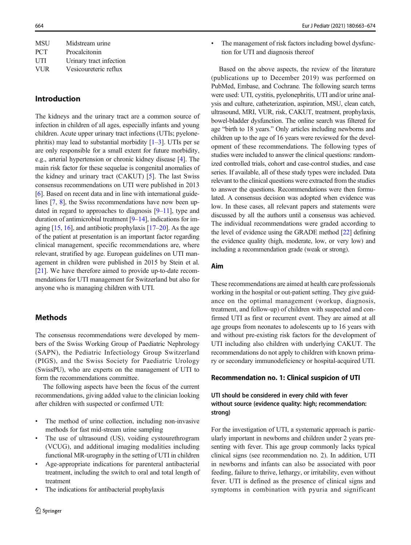| Midstream urine         |
|-------------------------|
| Procalcitonin           |
| Urinary tract infection |
| Vesicoureteric reflux   |
|                         |

# Introduction

The kidneys and the urinary tract are a common source of infection in children of all ages, especially infants and young children. Acute upper urinary tract infections (UTIs; pyelonephritis) may lead to substantial morbidity  $[1-3]$  $[1-3]$  $[1-3]$  $[1-3]$  $[1-3]$ . UTIs per se are only responsible for a small extent for future morbidity, e.g., arterial hypertension or chronic kidney disease [\[4](#page-8-0)]. The main risk factor for these sequelae is congenital anomalies of the kidney and urinary tract (CAKUT) [[5\]](#page-8-0). The last Swiss consensus recommendations on UTI were published in 2013 [\[6](#page-8-0)]. Based on recent data and in line with international guidelines [[7](#page-8-0), [8\]](#page-8-0), the Swiss recommendations have now been updated in regard to approaches to diagnosis  $[9-11]$  $[9-11]$  $[9-11]$ , type and duration of antimicrobial treatment  $[9-14]$  $[9-14]$  $[9-14]$  $[9-14]$  $[9-14]$ , indications for imaging  $[15, 16]$  $[15, 16]$  $[15, 16]$  $[15, 16]$ , and antibiotic prophylaxis  $[17–20]$  $[17–20]$  $[17–20]$ . As the age of the patient at presentation is an important factor regarding clinical management, specific recommendations are, where relevant, stratified by age. European guidelines on UTI management in children were published in 2015 by Stein et al. [\[21\]](#page-9-0). We have therefore aimed to provide up-to-date recommendations for UTI management for Switzerland but also for anyone who is managing children with UTI.

### Methods

The consensus recommendations were developed by members of the Swiss Working Group of Paediatric Nephrology (SAPN), the Pediatric Infectiology Group Switzerland (PIGS), and the Swiss Society for Paediatric Urology (SwissPU), who are experts on the management of UTI to form the recommendations committee.

The following aspects have been the focus of the current recommendations, giving added value to the clinician looking after children with suspected or confirmed UTI:

- The method of urine collection, including non-invasive methods for fast mid-stream urine sampling
- The use of ultrasound (US), voiding cystourethrogram (VCUG), and additional imaging modalities including functional MR-urography in the setting of UTI in children
- & Age-appropriate indications for parenteral antibacterial treatment, including the switch to oral and total length of treatment
- The indications for antibacterial prophylaxis

The management of risk factors including bowel dysfunction for UTI and diagnosis thereof

Based on the above aspects, the review of the literature (publications up to December 2019) was performed on PubMed, Embase, and Cochrane. The following search terms were used: UTI, cystitis, pyelonephritis, UTI and/or urine analysis and culture, catheterization, aspiration, MSU, clean catch, ultrasound, MRI, VUR, risk, CAKUT, treatment, prophylaxis, bowel-bladder dysfunction. The online search was filtered for age "birth to 18 years." Only articles including newborns and children up to the age of 16 years were reviewed for the development of these recommendations. The following types of studies were included to answer the clinical questions: randomized controlled trials, cohort and case-control studies, and case series. If available, all of these study types were included. Data relevant to the clinical questions were extracted from the studies to answer the questions. Recommendations were then formulated. A consensus decision was adopted when evidence was low. In these cases, all relevant papers and statements were discussed by all the authors until a consensus was achieved. The individual recommendations were graded according to the level of evidence using the GRADE method [\[22\]](#page-9-0) defining the evidence quality (high, moderate, low, or very low) and including a recommendation grade (weak or strong).

### Aim

These recommendations are aimed at health care professionals working in the hospital or out-patient setting. They give guidance on the optimal management (workup, diagnosis, treatment, and follow-up) of children with suspected and confirmed UTI as first or recurrent event. They are aimed at all age groups from neonates to adolescents up to 16 years with and without pre-existing risk factors for the development of UTI including also children with underlying CAKUT. The recommendations do not apply to children with known primary or secondary immunodeficiency or hospital-acquired UTI.

#### Recommendation no. 1: Clinical suspicion of UTI

### UTI should be considered in every child with fever without source (evidence quality: high; recommendation: strong)

For the investigation of UTI, a systematic approach is particularly important in newborns and children under 2 years presenting with fever. This age group commonly lacks typical clinical signs (see recommendation no. 2). In addition, UTI in newborns and infants can also be associated with poor feeding, failure to thrive, lethargy, or irritability, even without fever. UTI is defined as the presence of clinical signs and symptoms in combination with pyuria and significant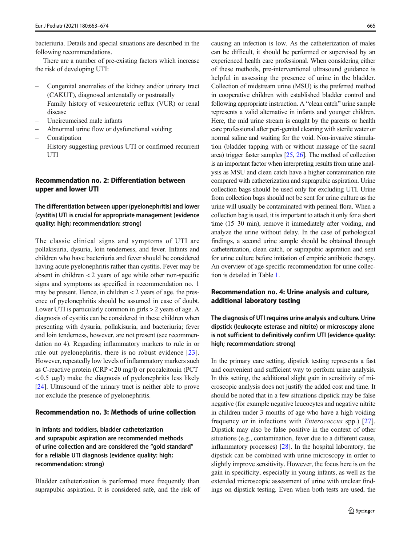bacteriuria. Details and special situations are described in the following recommendations.

There are a number of pre-existing factors which increase the risk of developing UTI:

- Congenital anomalies of the kidney and/or urinary tract (CAKUT), diagnosed antenatally or postnatally
- Family history of vesicoureteric reflux (VUR) or renal disease
- Uncircumcised male infants
- Abnormal urine flow or dysfunctional voiding
- Constipation
- History suggesting previous UTI or confirmed recurrent **ITTI**

## Recommendation no. 2: Differentiation between upper and lower UTI

### The differentiation between upper (pyelonephritis) and lower (cystitis) UTI is crucial for appropriate management (evidence quality: high; recommendation: strong)

The classic clinical signs and symptoms of UTI are pollakisuria, dysuria, loin tenderness, and fever. Infants and children who have bacteriuria and fever should be considered having acute pyelonephritis rather than cystitis. Fever may be absent in children  $<$  2 years of age while other non-specific signs and symptoms as specified in recommendation no. 1 may be present. Hence, in children  $<$  2 years of age, the presence of pyelonephritis should be assumed in case of doubt. Lower UTI is particularly common in girls > 2 years of age. A diagnosis of cystitis can be considered in these children when presenting with dysuria, pollakisuria, and bacteriuria; fever and loin tenderness, however, are not present (see recommendation no 4). Regarding inflammatory markers to rule in or rule out pyelonephritis, there is no robust evidence [\[23](#page-9-0)]. However, repeatedly low levels of inflammatory markers such as C-reactive protein (CRP < 20 mg/l) or procalcitonin (PCT  $< 0.5 \mu g/l$ ) make the diagnosis of pyelonephritis less likely [\[24\]](#page-9-0). Ultrasound of the urinary tract is neither able to prove nor exclude the presence of pyelonephritis.

#### Recommendation no. 3: Methods of urine collection

In infants and toddlers, bladder catheterization and suprapubic aspiration are recommended methods of urine collection and are considered the "gold standard" for a reliable UTI diagnosis (evidence quality: high; recommendation: strong)

Bladder catheterization is performed more frequently than suprapubic aspiration. It is considered safe, and the risk of

causing an infection is low. As the catheterization of males can be difficult, it should be performed or supervised by an experienced health care professional. When considering either of these methods, pre-interventional ultrasound guidance is helpful in assessing the presence of urine in the bladder. Collection of midstream urine (MSU) is the preferred method in cooperative children with established bladder control and following appropriate instruction. A "clean catch" urine sample represents a valid alternative in infants and younger children. Here, the mid urine stream is caught by the parents or health care professional after peri-genital cleaning with sterile water or normal saline and waiting for the void. Non-invasive stimulation (bladder tapping with or without massage of the sacral area) trigger faster samples [\[25,](#page-9-0) [26](#page-9-0)]. The method of collection is an important factor when interpreting results from urine analysis as MSU and clean catch have a higher contamination rate compared with catheterization and suprapubic aspiration. Urine collection bags should be used only for excluding UTI. Urine from collection bags should not be sent for urine culture as the urine will usually be contaminated with perineal flora. When a collection bag is used, it is important to attach it only for a short time (15–30 min), remove it immediately after voiding, and analyze the urine without delay. In the case of pathological findings, a second urine sample should be obtained through catheterization, clean catch, or suprapubic aspiration and sent for urine culture before initiation of empiric antibiotic therapy. An overview of age-specific recommendation for urine collection is detailed in Table [1](#page-3-0).

### Recommendation no. 4: Urine analysis and culture, additional laboratory testing

The diagnosis of UTI requires urine analysis and culture. Urine dipstick (leukocyte esterase and nitrite) or microscopy alone is not sufficient to definitively confirm UTI (evidence quality: high; recommendation: strong)

In the primary care setting, dipstick testing represents a fast and convenient and sufficient way to perform urine analysis. In this setting, the additional slight gain in sensitivity of microscopic analysis does not justify the added cost and time. It should be noted that in a few situations dipstick may be false negative (for example negative leucocytes and negative nitrite in children under 3 months of age who have a high voiding frequency or in infections with Enterococcus spp.) [\[27](#page-9-0)]. Dipstick may also be false positive in the context of other situations (e.g., contamination, fever due to a different cause, inflammatory processes) [\[28](#page-9-0)]. In the hospital laboratory, the dipstick can be combined with urine microscopy in order to slightly improve sensitivity. However, the focus here is on the gain in specificity, especially in young infants, as well as the extended microscopic assessment of urine with unclear findings on dipstick testing. Even when both tests are used, the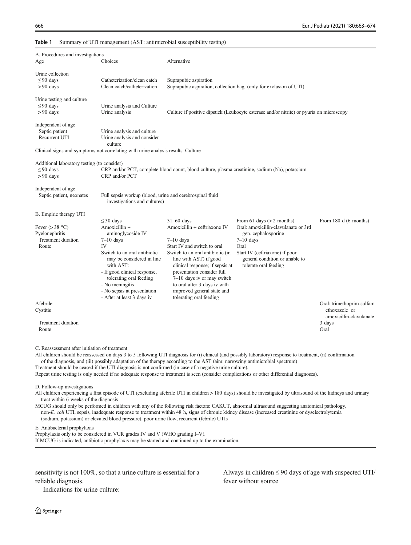#### <span id="page-3-0"></span>Table 1 Summary of UTI management (AST: antimicrobial susceptibility testing)

| A. Procedures and investigations                                             |                                                                                                                                                                                                                                                                  |                                                                                                                                                                                                                                                                                                                                                  |                                                                                                                                                                                                                |                       |  |
|------------------------------------------------------------------------------|------------------------------------------------------------------------------------------------------------------------------------------------------------------------------------------------------------------------------------------------------------------|--------------------------------------------------------------------------------------------------------------------------------------------------------------------------------------------------------------------------------------------------------------------------------------------------------------------------------------------------|----------------------------------------------------------------------------------------------------------------------------------------------------------------------------------------------------------------|-----------------------|--|
|                                                                              |                                                                                                                                                                                                                                                                  |                                                                                                                                                                                                                                                                                                                                                  |                                                                                                                                                                                                                |                       |  |
| Age                                                                          | Choices                                                                                                                                                                                                                                                          | Alternative                                                                                                                                                                                                                                                                                                                                      |                                                                                                                                                                                                                |                       |  |
| Urine collection<br>$\leq$ 90 days<br>$> 90$ days                            | Catheterization/clean catch<br>Clean catch/catheterization                                                                                                                                                                                                       | Suprapubic aspiration<br>Suprapubic aspiration, collection bag (only for exclusion of UTI)                                                                                                                                                                                                                                                       |                                                                                                                                                                                                                |                       |  |
| Urine testing and culture<br>$\leq$ 90 days<br>$> 90$ days                   | Urine analysis and Culture<br>Urine analysis                                                                                                                                                                                                                     |                                                                                                                                                                                                                                                                                                                                                  | Culture if positive dipstick (Leukocyte esterase and/or nitrite) or pyuria on microscopy                                                                                                                       |                       |  |
| Independent of age<br>Septic patient<br>Recurrent UTI                        | Urine analysis and culture<br>Urine analysis and consider<br>culture<br>Clinical signs and symptoms not correlating with urine analysis results: Culture                                                                                                         |                                                                                                                                                                                                                                                                                                                                                  |                                                                                                                                                                                                                |                       |  |
| Additional laboratory testing (to consider)<br>$\leq$ 90 days<br>$> 90$ days | CRP and/or PCT                                                                                                                                                                                                                                                   |                                                                                                                                                                                                                                                                                                                                                  | CRP and/or PCT, complete blood count, blood culture, plasma creatinine, sodium (Na), potassium                                                                                                                 |                       |  |
| Independent of age<br>Septic patient, neonates                               | Full sepsis workup (blood, urine and cerebrospinal fluid<br>investigations and cultures)                                                                                                                                                                         |                                                                                                                                                                                                                                                                                                                                                  |                                                                                                                                                                                                                |                       |  |
| B. Empiric therapy UTI                                                       |                                                                                                                                                                                                                                                                  |                                                                                                                                                                                                                                                                                                                                                  |                                                                                                                                                                                                                |                       |  |
| Fever $(>38 \text{ °C})$<br>Pyelonephritis<br>Treatment duration<br>Route    | $\leq$ 30 days<br>Amoxicillin +<br>aminoglycoside IV<br>$7-10$ days<br>IV<br>Switch to an oral antibiotic<br>may be considered in line<br>with AST:<br>- If good clinical response,<br>tolerating oral feeding<br>- No meningitis<br>- No sepsis at presentation | $31-60$ days<br>Amoxicillin + ceftriaxone IV<br>$7-10$ days<br>Start IV and switch to oral<br>Switch to an oral antibiotic (in<br>line with AST) if good<br>clinical response; if sepsis at<br>presentation consider full<br>7-10 days iv or may switch<br>to oral after 3 days iv with<br>improved general state and<br>tolerating oral feeding | From 61 days $(> 2$ months)<br>Oral: amoxicillin-clavulanate or 3rd<br>gen. cephalosporine<br>$7-10$ days<br>Oral<br>Start IV (ceftriaxone) if poor<br>general condition or unable to<br>tolerate oral feeding | From 180 d (6 months) |  |
|                                                                              | - After at least 3 days iv                                                                                                                                                                                                                                       |                                                                                                                                                                                                                                                                                                                                                  |                                                                                                                                                                                                                |                       |  |

of the diagnosis, and (iii) possibly adaptation of the therapy according to the AST (aim: narrowing antimicrobial spectrum)

Treatment should be ceased if the UTI diagnosis is not confirmed (in case of a negative urine culture).

Repeat urine testing is only needed if no adequate response to treatment is seen (consider complications or other differential diagnoses).

D. Follow-up investigations

All children experiencing a first episode of UTI (excluding afebrile UTI in children > 180 days) should be investigated by ultrasound of the kidneys and urinary tract within 6 weeks of the diagnosis

MCUG should only be performed in children with any of the following risk factors: CAKUT, abnormal ultrasound suggesting anatomical pathology, non-E. coli UTI, sepsis, inadequate response to treatment within 48 h, signs of chronic kidney disease (increased creatinine or dyselectrolytemia (sodium, potassium) or elevated blood pressure), poor urine flow, recurrent (febrile) UTIs

E. Antibacterial prophylaxis

Prophylaxis only to be considered in VUR grades IV and V (WHO grading I–V). If MCUG is indicated, antibiotic prophylaxis may be started and continued up to the examination.

sensitivity is not 100%, so that a urine culture is essential for a reliable diagnosis.

Always in children  $\leq$  90 days of age with suspected UTI/ fever without source

Indications for urine culture: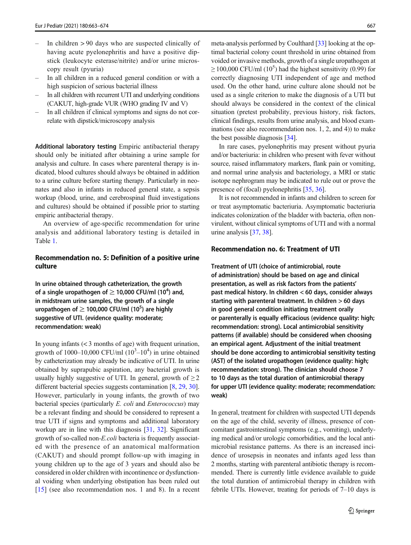- In children  $> 90$  days who are suspected clinically of having acute pyelonephritis and have a positive dipstick (leukocyte esterase/nitrite) and/or urine microscopy result (pyuria)
- In all children in a reduced general condition or with a high suspicion of serious bacterial illness
- In all children with recurrent UTI and underlying conditions (CAKUT, high-grade VUR (WHO grading IV and V)
- In all children if clinical symptoms and signs do not correlate with dipstick/microscopy analysis

Additional laboratory testing Empiric antibacterial therapy should only be initiated after obtaining a urine sample for analysis and culture. In cases where parenteral therapy is indicated, blood cultures should always be obtained in addition to a urine culture before starting therapy. Particularly in neonates and also in infants in reduced general state, a sepsis workup (blood, urine, and cerebrospinal fluid investigations and cultures) should be obtained if possible prior to starting empiric antibacterial therapy.

An overview of age-specific recommendation for urine analysis and additional laboratory testing is detailed in Table [1.](#page-3-0)

#### Recommendation no. 5: Definition of a positive urine culture

In urine obtained through catheterization, the growth of a single uropathogen of  $\geq$  10,000 CFU/ml (10<sup>4</sup>) and, in midstream urine samples, the growth of a single uropathogen of  $\geq$  100,000 CFU/ml (10<sup>5</sup>) are highly suggestive of UTI. (evidence quality: moderate; recommendation: weak)

In young infants (< 3 months of age) with frequent urination, growth of 1000–10,000 CFU/ml  $(10^3 - 10^4)$  in urine obtained by catheterization may already be indicative of UTI. In urine obtained by suprapubic aspiration, any bacterial growth is usually highly suggestive of UTI. In general, growth of  $\geq 2$ different bacterial species suggests contamination [\[8,](#page-8-0) [29,](#page-9-0) [30\]](#page-9-0). However, particularly in young infants, the growth of two bacterial species (particularly E. coli and Enterococcus) may be a relevant finding and should be considered to represent a true UTI if signs and symptoms and additional laboratory workup are in line with this diagnosis [[31](#page-9-0), [32](#page-9-0)]. Significant growth of so-called non-E.coli bacteria is frequently associated with the presence of an anatomical malformation (CAKUT) and should prompt follow-up with imaging in young children up to the age of 3 years and should also be considered in older children with incontinence or dysfunctional voiding when underlying obstipation has been ruled out [\[15](#page-9-0)] (see also recommendation nos. 1 and 8). In a recent meta-analysis performed by Coulthard [\[33](#page-9-0)] looking at the optimal bacterial colony count threshold in urine obtained from voided or invasive methods, growth of a single uropathogen at  $\geq$  100,000 CFU/ml (10<sup>5</sup>) had the highest sensitivity (0.99) for correctly diagnosing UTI independent of age and method used. On the other hand, urine culture alone should not be used as a single criterion to make the diagnosis of a UTI but should always be considered in the context of the clinical situation (pretest probability, previous history, risk factors, clinical findings, results from urine analysis, and blood examinations (see also recommendation nos. 1, 2, and 4)) to make the best possible diagnosis [[34](#page-9-0)].

In rare cases, pyelonephritis may present without pyuria and/or bacteriuria: in children who present with fever without source, raised inflammatory markers, flank pain or vomiting, and normal urine analysis and bacteriology, a MRI or static isotope nephrogram may be indicated to rule out or prove the presence of (focal) pyelonephritis [\[35](#page-9-0), [36\]](#page-9-0).

It is not recommended in infants and children to screen for or treat asymptomatic bacteriuria. Asymptomatic bacteriuria indicates colonization of the bladder with bacteria, often nonvirulent, without clinical symptoms of UTI and with a normal urine analysis [\[37](#page-10-0), [38](#page-10-0)].

### Recommendation no. 6: Treatment of UTI

Treatment of UTI (choice of antimicrobial, route of administration) should be based on age and clinical presentation, as well as risk factors from the patients' past medical history. In children < 60 days, consider always starting with parenteral treatment. In children > 60 days in good general condition initiating treatment orally or parenterally is equally efficacious (evidence quality: high; recommendation: strong). Local antimicrobial sensitivity patterns (if available) should be considered when choosing an empirical agent. Adjustment of the initial treatment should be done according to antimicrobial sensitivity testing (AST) of the isolated uropathogen (evidence quality: high; recommendation: strong). The clinician should choose 7 to 10 days as the total duration of antimicrobial therapy for upper UTI (evidence quality: moderate; recommendation: weak)

In general, treatment for children with suspected UTI depends on the age of the child, severity of illness, presence of concomitant gastrointestinal symptoms (e.g., vomiting), underlying medical and/or urologic comorbidities, and the local antimicrobial resistance patterns. As there is an increased incidence of urosepsis in neonates and infants aged less than 2 months, starting with parenteral antibiotic therapy is recommended. There is currently little evidence available to guide the total duration of antimicrobial therapy in children with febrile UTIs. However, treating for periods of 7–10 days is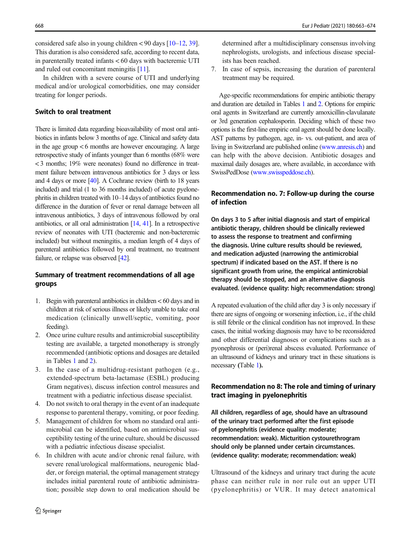considered safe also in young children  $\lt 90$  days  $[10-12, 39]$  $[10-12, 39]$  $[10-12, 39]$  $[10-12, 39]$  $[10-12, 39]$  $[10-12, 39]$ . This duration is also considered safe, according to recent data, in parenterally treated infants < 60 days with bacteremic UTI and ruled out concomitant meningitis [\[11](#page-9-0)].

In children with a severe course of UTI and underlying medical and/or urological comorbidities, one may consider treating for longer periods.

### Switch to oral treatment

There is limited data regarding bioavailability of most oral antibiotics in infants below 3 months of age. Clinical and safety data in the age group < 6 months are however encouraging. A large retrospective study of infants younger than 6 months (68% were < 3 months; 19% were neonates) found no difference in treatment failure between intravenous antibiotics for 3 days or less and 4 days or more [\[40\]](#page-10-0). A Cochrane review (birth to 18 years included) and trial (1 to 36 months included) of acute pyelonephritis in children treated with 10–14 days of antibiotics found no difference in the duration of fever or renal damage between all intravenous antibiotics, 3 days of intravenous followed by oral antibiotics, or all oral administration [\[14,](#page-9-0) [41](#page-10-0)]. In a retrospective review of neonates with UTI (bacteremic and non-bacteremic included) but without meningitis, a median length of 4 days of parenteral antibiotics followed by oral treatment, no treatment failure, or relapse was observed [\[42\]](#page-10-0).

## Summary of treatment recommendations of all age groups

- 1. Begin with parenteral antibiotics in children < 60 days and in children at risk of serious illness or likely unable to take oral medication (clinically unwell/septic, vomiting, poor feeding).
- 2. Once urine culture results and antimicrobial susceptibility testing are available, a targeted monotherapy is strongly recommended (antibiotic options and dosages are detailed in Tables [1](#page-3-0) and [2\)](#page-6-0).
- 3. In the case of a multidrug-resistant pathogen (e.g., extended-spectrum beta-lactamase (ESBL) producing Gram negatives), discuss infection control measures and treatment with a pediatric infectious disease specialist.
- 4. Do not switch to oral therapy in the event of an inadequate response to parenteral therapy, vomiting, or poor feeding.
- 5. Management of children for whom no standard oral antimicrobial can be identified, based on antimicrobial susceptibility testing of the urine culture, should be discussed with a pediatric infectious disease specialist.
- 6. In children with acute and/or chronic renal failure, with severe renal/urological malformations, neurogenic bladder, or foreign material, the optimal management strategy includes initial parenteral route of antibiotic administration; possible step down to oral medication should be

determined after a multidisciplinary consensus involving nephrologists, urologists, and infectious disease specialists has been reached.

7. In case of sepsis, increasing the duration of parenteral treatment may be required.

Age-specific recommendations for empiric antibiotic therapy and duration are detailed in Tables [1](#page-3-0) and [2.](#page-6-0) Options for empiric oral agents in Switzerland are currently amoxicillin-clavulanate or 3rd generation cephalosporin. Deciding which of these two options is the first-line empiric oral agent should be done locally. AST patterns by pathogen, age, in- vs. out-patient, and area of living in Switzerland are published online [\(www.anresis.ch](http://www.anresis.ch)) and can help with the above decision. Antibiotic dosages and maximal daily dosages are, where available, in accordance with SwissPedDose ([www.swisspeddose.ch\)](http://www.anresis.ch).

## Recommendation no. 7: Follow-up during the course of infection

On days 3 to 5 after initial diagnosis and start of empirical antibiotic therapy, children should be clinically reviewed to assess the response to treatment and confirming the diagnosis. Urine culture results should be reviewed, and medication adjusted (narrowing the antimicrobial spectrum) if indicated based on the AST. If there is no significant growth from urine, the empirical antimicrobial therapy should be stopped, and an alternative diagnosis evaluated. (evidence quality: high; recommendation: strong)

A repeated evaluation of the child after day 3 is only necessary if there are signs of ongoing or worsening infection, i.e., if the child is still febrile or the clinical condition has not improved. In these cases, the initial working diagnosis may have to be reconsidered and other differential diagnoses or complications such as a pyonephrosis or (peri)renal abscess evaluated. Performance of an ultrasound of kidneys and urinary tract in these situations is necessary (Table [1](#page-3-0)).

# Recommendation no 8: The role and timing of urinary tract imaging in pyelonephritis

All children, regardless of age, should have an ultrasound of the urinary tract performed after the first episode of pyelonephritis (evidence quality: moderate; recommendation: weak). Micturition cystourethrogram should only be planned under certain circumstances. (evidence quality: moderate; recommendation: weak)

Ultrasound of the kidneys and urinary tract during the acute phase can neither rule in nor rule out an upper UTI (pyelonephritis) or VUR. It may detect anatomical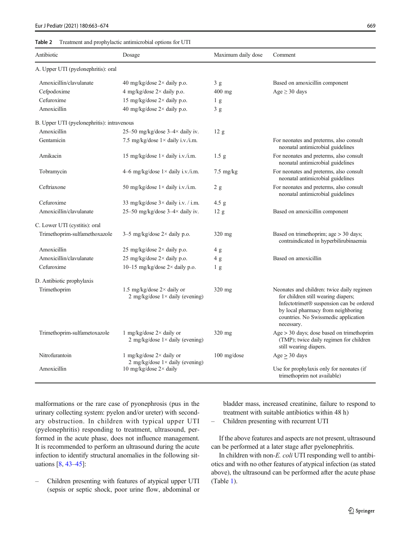#### <span id="page-6-0"></span>Table 2 Treatment and prophylactic antimicrobial options for UTI

| Antibiotic                                 | Dosage                                                                        | Maximum daily dose  | Comment                                                                                                                                                                                                                   |
|--------------------------------------------|-------------------------------------------------------------------------------|---------------------|---------------------------------------------------------------------------------------------------------------------------------------------------------------------------------------------------------------------------|
| A. Upper UTI (pyelonephritis): oral        |                                                                               |                     |                                                                                                                                                                                                                           |
| Amoxicillin/clavulanate                    | 40 mg/kg/dose $2 \times$ daily p.o.                                           | 3g                  | Based on amoxicillin component                                                                                                                                                                                            |
| Cefpodoxime                                | 4 mg/kg/dose $2 \times$ daily p.o.                                            | $400$ mg            | $Age \geq 30$ days                                                                                                                                                                                                        |
| Cefuroxime                                 | 15 mg/kg/dose 2× daily p.o.                                                   | 1 <sub>g</sub>      |                                                                                                                                                                                                                           |
| Amoxicillin                                | 40 mg/kg/dose 2× daily p.o.                                                   | 3g                  |                                                                                                                                                                                                                           |
| B. Upper UTI (pyelonephritis): intravenous |                                                                               |                     |                                                                                                                                                                                                                           |
| Amoxicillin                                | 25–50 mg/kg/dose $3-4\times$ daily iv.                                        | 12 <sub>g</sub>     |                                                                                                                                                                                                                           |
| Gentamicin                                 | 7.5 mg/kg/dose $1 \times$ daily i.v./i.m.                                     |                     | For neonates and preterms, also consult<br>neonatal antimicrobial guidelines                                                                                                                                              |
| Amikacin                                   | 15 mg/kg/dose $1 \times$ daily i.v./i.m.                                      | 1.5 <sub>g</sub>    | For neonates and preterms, also consult<br>neonatal antimicrobial guidelines                                                                                                                                              |
| Tobramycin                                 | 4–6 mg/kg/dose $1 \times$ daily i.v./i.m.                                     | $7.5 \text{ mg/kg}$ | For neonates and preterms, also consult<br>neonatal antimicrobial guidelines                                                                                                                                              |
| Ceftriaxone                                | 50 mg/kg/dose $1 \times$ daily i.v./i.m.                                      | 2 g                 | For neonates and preterms, also consult<br>neonatal antimicrobial guidelines                                                                                                                                              |
| Cefuroxime                                 | 33 mg/kg/dose $3 \times$ daily i.v. / i.m.                                    | $4.5$ g             |                                                                                                                                                                                                                           |
| Amoxicillin/clavulanate                    | 25-50 mg/kg/dose 3-4× daily iv.                                               | 12 <sub>g</sub>     | Based on amoxicillin component                                                                                                                                                                                            |
| C. Lower UTI (cystitis): oral              |                                                                               |                     |                                                                                                                                                                                                                           |
| Trimethoprim-sulfamethoxazole              | $3-5$ mg/kg/dose $2 \times$ daily p.o.                                        | 320 mg              | Based on trimethoprim; age > 30 days;<br>contraindicated in hyperbilirubinaemia                                                                                                                                           |
| Amoxicillin                                | 25 mg/kg/dose $2 \times$ daily p.o.                                           | 4 g                 |                                                                                                                                                                                                                           |
| Amoxicillin/clavulanate                    | 25 mg/kg/dose 2× daily p.o.                                                   | 4g                  | Based on amoxicillin                                                                                                                                                                                                      |
| Cefuroxime                                 | 10–15 mg/kg/dose $2 \times$ daily p.o.                                        | 1 <sub>g</sub>      |                                                                                                                                                                                                                           |
| D. Antibiotic prophylaxis                  |                                                                               |                     |                                                                                                                                                                                                                           |
| Trimethoprim                               | 1.5 mg/kg/dose $2 \times$ daily or<br>2 mg/kg/dose $1 \times$ daily (evening) | $320$ mg            | Neonates and children: twice daily regimen<br>for children still wearing diapers;<br>Infectotrimet® suspension can be ordered<br>by local pharmacy from neighboring<br>countries. No Swissmedic application<br>necessary. |
| Trimethoprim-sulfametoxazole               | 1 mg/kg/dose $2 \times$ daily or<br>2 mg/kg/dose $1 \times$ daily (evening)   | 320 mg              | $Age > 30$ days; dose based on trimethoprim<br>(TMP); twice daily regimen for children<br>still wearing diapers.                                                                                                          |
| Nitrofurantoin                             | 1 mg/kg/dose $2 \times$ daily or                                              | 100 mg/dose         | $Age > 30 \text{ days}$                                                                                                                                                                                                   |
| Amoxicillin                                | 2 mg/kg/dose $1 \times$ daily (evening)<br>10 mg/kg/dose $2 \times$ daily     |                     | Use for prophylaxis only for neonates (if<br>trimethoprim not available)                                                                                                                                                  |

malformations or the rare case of pyonephrosis (pus in the urinary collecting system: pyelon and/or ureter) with secondary obstruction. In children with typical upper UTI (pyelonephritis) responding to treatment, ultrasound, performed in the acute phase, does not influence management. It is recommended to perform an ultrasound during the acute infection to identify structural anomalies in the following situations [[8,](#page-8-0) [43](#page-10-0)–[45](#page-10-0)]:

– Children presenting with features of atypical upper UTI (sepsis or septic shock, poor urine flow, abdominal or bladder mass, increased creatinine, failure to respond to treatment with suitable antibiotics within 48 h)

– Children presenting with recurrent UTI

If the above features and aspects are not present, ultrasound can be performed at a later stage after pyelonephritis.

In children with non-E. coli UTI responding well to antibiotics and with no other features of atypical infection (as stated above), the ultrasound can be performed after the acute phase (Table [1\)](#page-3-0).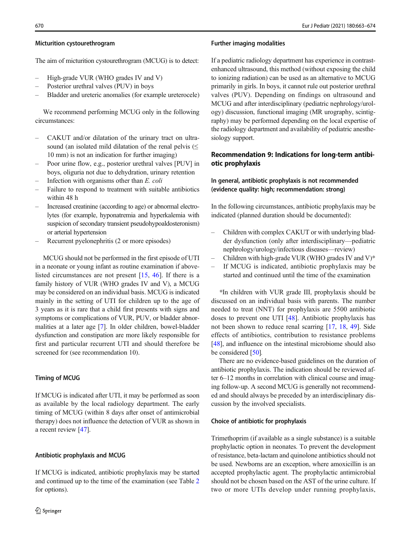#### Micturition cystourethrogram

The aim of micturition cystourethrogram (MCUG) is to detect:

- High-grade VUR (WHO grades IV and V)
- Posterior urethral valves (PUV) in boys
- Bladder and ureteric anomalies (for example ureterocele)

We recommend performing MCUG only in the following circumstances:

- CAKUT and/or dilatation of the urinary tract on ultrasound (an isolated mild dilatation of the renal pelvis  $(\leq)$ 10 mm) is not an indication for further imaging)
- Poor urine flow, e.g., posterior urethral valves [PUV] in boys, oliguria not due to dehydration, urinary retention
- Infection with organisms other than  $E$ . coli
- Failure to respond to treatment with suitable antibiotics within 48 h
- Increased creatinine (according to age) or abnormal electrolytes (for example, hyponatremia and hyperkalemia with suspicion of secondary transient pseudohypoaldosteronism) or arterial hypertension
- Recurrent pyelonephritis (2 or more episodes)

MCUG should not be performed in the first episode of UTI in a neonate or young infant as routine examination if abovelisted circumstances are not present [\[15](#page-9-0), [46\]](#page-10-0). If there is a family history of VUR (WHO grades IV and V), a MCUG may be considered on an individual basis. MCUG is indicated mainly in the setting of UTI for children up to the age of 3 years as it is rare that a child first presents with signs and symptoms or complications of VUR, PUV, or bladder abnormalities at a later age [\[7](#page-8-0)]. In older children, bowel-bladder dysfunction and constipation are more likely responsible for first and particular recurrent UTI and should therefore be screened for (see recommendation 10).

#### Timing of MCUG

If MCUG is indicated after UTI, it may be performed as soon as available by the local radiology department. The early timing of MCUG (within 8 days after onset of antimicrobial therapy) does not influence the detection of VUR as shown in a recent review [\[47\]](#page-10-0).

#### Antibiotic prophylaxis and MCUG

If MCUG is indicated, antibiotic prophylaxis may be started and continued up to the time of the examination (see Table [2](#page-6-0) for options).

#### Further imaging modalities

If a pediatric radiology department has experience in contrastenhanced ultrasound, this method (without exposing the child to ionizing radiation) can be used as an alternative to MCUG primarily in girls. In boys, it cannot rule out posterior urethral valves (PUV). Depending on findings on ultrasound and MCUG and after interdisciplinary (pediatric nephrology/urology) discussion, functional imaging (MR urography, scintigraphy) may be performed depending on the local expertise of the radiology department and availability of pediatric anesthesiology support.

### Recommendation 9: Indications for long-term antibiotic prophylaxis

### In general, antibiotic prophylaxis is not recommended (evidence quality: high; recommendation: strong)

In the following circumstances, antibiotic prophylaxis may be indicated (planned duration should be documented):

- Children with complex CAKUT or with underlying bladder dysfunction (only after interdisciplinary—pediatric nephrology/urology/infectious diseases—review)
- Children with high-grade VUR (WHO grades IV and V)\*
- If MCUG is indicated, antibiotic prophylaxis may be started and continued until the time of the examination

\*In children with VUR grade III, prophylaxis should be discussed on an individual basis with parents. The number needed to treat (NNT) for prophylaxis are 5500 antibiotic doses to prevent one UTI [[48\]](#page-10-0). Antibiotic prophylaxis has not been shown to reduce renal scarring [[17,](#page-9-0) [18,](#page-9-0) [49\]](#page-10-0). Side effects of antibiotics, contribution to resistance problems [\[48](#page-10-0)], and influence on the intestinal microbiome should also be considered [[50](#page-10-0)].

There are no evidence-based guidelines on the duration of antibiotic prophylaxis. The indication should be reviewed after 6–12 months in correlation with clinical course and imaging follow-up. A second MCUG is generally not recommended and should always be preceded by an interdisciplinary discussion by the involved specialists.

#### Choice of antibiotic for prophylaxis

Trimethoprim (if available as a single substance) is a suitable prophylactic option in neonates. To prevent the development of resistance, beta-lactam and quinolone antibiotics should not be used. Newborns are an exception, where amoxicillin is an accepted prophylactic agent. The prophylactic antimicrobial should not be chosen based on the AST of the urine culture. If two or more UTIs develop under running prophylaxis,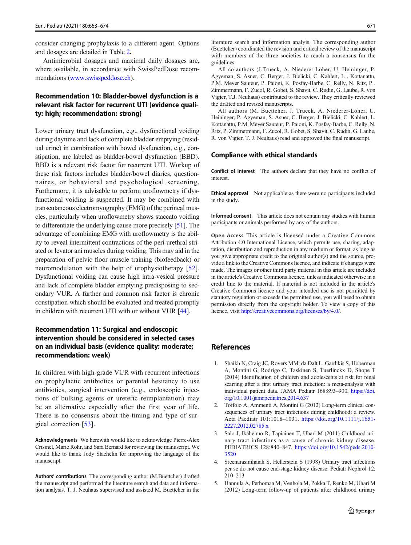<span id="page-8-0"></span>consider changing prophylaxis to a different agent. Options and dosages are detailed in Table [2](#page-6-0).

Antimicrobial dosages and maximal daily dosages are, where available, in accordance with SwissPedDose recommendations [\(www.swisspeddose.ch](http://www.anresis.ch)).

### Recommendation 10: Bladder-bowel dysfunction is a relevant risk factor for recurrent UTI (evidence quality: high; recommendation: strong)

Lower urinary tract dysfunction, e.g., dysfunctional voiding during daytime and lack of complete bladder emptying (residual urine) in combination with bowel dysfunction, e.g., constipation, are labeled as bladder-bowel dysfunction (BBD). BBD is a relevant risk factor for recurrent UTI. Workup of these risk factors includes bladder/bowel diaries, questionnaires, or behavioral and psychological screening. Furthermore, it is advisable to perform uroflowmetry if dysfunctional voiding is suspected. It may be combined with transcutaneous electromyography (EMG) of the perineal muscles, particularly when uroflowmetry shows staccato voiding to differentiate the underlying cause more precisely [\[51\]](#page-10-0). The advantage of combining EMG with uroflowmetry is the ability to reveal intermittent contractions of the peri-urethral striated or levator ani muscles during voiding. This may aid in the preparation of pelvic floor muscle training (biofeedback) or neuromodulation with the help of urophysiotherapy [\[52](#page-10-0)]. Dysfunctional voiding can cause high intra-vesical pressure and lack of complete bladder emptying predisposing to secondary VUR. A further and common risk factor is chronic constipation which should be evaluated and treated promptly in children with recurrent UTI with or without VUR [[44](#page-10-0)].

### Recommendation 11: Surgical and endoscopic intervention should be considered in selected cases on an individual basis (evidence quality: moderate; recommendation: weak)

In children with high-grade VUR with recurrent infections on prophylactic antibiotics or parental hesitancy to use antibiotics, surgical intervention (e.g., endoscopic injections of bulking agents or ureteric reimplantation) may be an alternative especially after the first year of life. There is no consensus about the timing and type of surgical correction [[53](#page-10-0)].

Acknowledgments We herewith would like to acknowledge Pierre-Alex Crisinel, Marie Rohr, and Sara Bernard for reviewing the manuscript. We would like to thank Jody Staehelin for improving the language of the manuscript.

Authors' contributions The corresponding author (M.Buettcher) drafted the manuscript and performed the literature search and data and information analysis. T. J. Neuhaus supervised and assisted M. Buettcher in the literature search and information analyis. The corresponding author (Buettcher) coordinated the revision and critical review of the manuscript with members of the three societies to reach a consensus for the guidelines.

All co-authors (J.Trueck, A. Niederer-Loher, U. Heininger, P. Agyeman, S. Asner, C. Berger, J. Bielicki, C. Kahlert, L . Kottanattu, P.M. Meyer Sauteur, P. Paioni, K. Posfay-Barbe, C. Relly, N. Ritz, P . Zimmermann, F. Zucol, R. Gobet, S. Shavit, C. Rudin, G. Laube, R. von Vigier, T.J. Neuhaus) contributed to the review. They critically reviewed the drafted and revised manuscripts.

All authors (M. Buettcher, J. Trueck, A. Niederer-Loher, U. Heininger, P. Agyeman, S. Asner, C. Berger, J. Bielicki, C. Kahlert, L. Kottanattu, P.M. Meyer Sauteur, P. Paioni, K. Posfay-Barbe, C. Relly, N. Ritz, P. Zimmermann, F. Zucol, R. Gobet, S. Shavit, C. Rudin, G. Laube, R. von Vigier, T. J. Neuhaus) read and approved the final manuscript.

#### Compliance with ethical standards

Conflict of interest The authors declare that they have no conflict of interest.

Ethical approval Not applicable as there were no participants included in the study.

Informed consent This article does not contain any studies with human participants or animals performed by any of the authors.

Open Access This article is licensed under a Creative Commons Attribution 4.0 International License, which permits use, sharing, adaptation, distribution and reproduction in any medium or format, as long as you give appropriate credit to the original author(s) and the source, provide a link to the Creative Commons licence, and indicate if changes were made. The images or other third party material in this article are included in the article's Creative Commons licence, unless indicated otherwise in a credit line to the material. If material is not included in the article's Creative Commons licence and your intended use is not p[ermitted by](https://doi.org/10.1001/jamapediatrics.2014.637) statut[ory regulation or exceeds the permitted](https://doi.org/10.1001/jamapediatrics.2014.637) use, you will need to obtain permission directly from the copyright holder. To view a copy of this licence, visit http://creativecommons.org/licenses/by/4.0/.

#### References

- 1. Shaikh N, Craig JC, Rovers MM, da Dalt L, Gardikis S, Hoberman A, Montini G, Rodrigo C, Taskinen S, Tuerlinckx D, Shope T (2014) Identification of children and adolescents at risk for renal scarring after a first urinary tract infection: a meta-analysis with individual patient data. JAMA Pediatr 168:893–900. https://doi. org/10.1001/jamapediatrics.2014.637
- 2. [Toffolo A, Ammenti A, Montini G \(2012\)](https://doi.org/10.1001/archpediatrics.2012.1383) Long-term clinical consequences of urinary tract infections during childhood: a review. Acta Paediatr 101:1018–1031. https://doi.org/10.1111/j.1651- 2227.2012.02785.x
- 3. Salo J, Ikäheimo R, Tapiainen T, Uhari M (2011) Childhood urinary tract infections as a cause of chronic kidney d[isease.](http://www.anresis.ch) PEDIATRICS 128:840–847. [https://doi.org/10.1542/peds.2010-](http://www.anresis.ch) 3520
- 4. Sreenarasimhaiah S, Hellerstein S (1998) Urinary tract infections per se do not cause end-stage kidney disease. Pediatr Nephrol 12: 210–213
- 5. Hannula A, Perhomaa M, Venhola M, Pokka T, Renko M, Uhari M (2012) Lon[g-term follow-up of patients after child](https://doi.org/10.1542/peds.2016-3026)hood urinary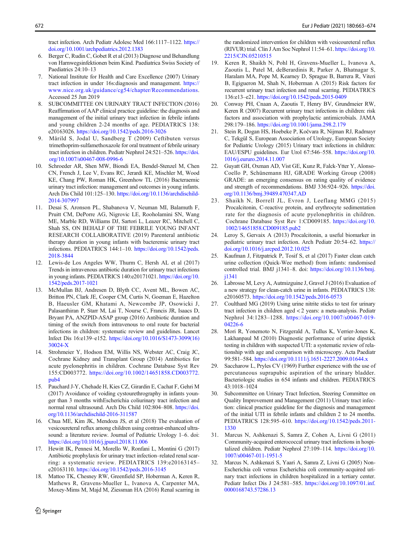<span id="page-9-0"></span>tract infection. Arch Pediatr Adolesc Med 166:1117–1122. https:// doi.org/10.1001/archpediatrics.2012.1383

- 6. Berger C, Rudin C, Gobet R et al (2013) Diagnose und [Behandlung](https://doi.org/10.1007/s00467-008-0996-6) [von Harnwegsinfektionen beim K](https://doi.org/10.1007/s00467-008-0996-6)ind. Paediatrica Swiss Society of Paediatrics 24:10–13
- 7. National Institute for Health and Care Excellence (2007) Urinary tract infection in under 16s:diagnosis and management. https:// www.nice.org.uk/guidance/cg54/chapter/Recommendations. Accessed 25 Jun 2019
- 8. [SUBCOMMI](https://doi.org/10.1136/archdischild-2014-307997)TTEE ON URINARY TRACT INFECTION (2016) Reaffirmation of AAP clinical practice guideline: the diagnosis and management of the initial urinary tract infection in febrile infants and young children 2-24 months of age. PEDIATRICS 138: e20163026. https://doi.org/10.1542/peds.2016-3026
- 9. Mårild S, Jodal U, Sandberg T (2009) Ceftibuten versus trimethoprim-sulfamethoxazole for oral treatment of febrile urinary tract infection in children. Pediatr Ne[phrol 24:521](https://doi.org/10.1542/peds.2018-3844)–526. https://doi. [org/10.100](https://doi.org/10.1542/peds.2018-3844)7/s00467-008-0996-6
- 10. Schroeder AR, Shen MW, Biondi EA, Bendel-Stenzel M, Chen CN, French J, Lee V, Evans RC, Jerardi KE, Mischler M, Wood KE, Chang PW, Roman HK, Greenhow TL (2[016\) Bacteraemic](https://doi.org/10.1542/peds.2017-1021) [urinary tract infection:](https://doi.org/10.1542/peds.2017-1021) management and outcomes in young infants. Arch Dis Child 101:125–130. https://doi.org/10.1136/archdischild-2014-307997
- 11. Desai S, Aronson PL, Shabanova V, Neuman MI, Balamuth F, Pruitt CM, DePorre AG, Nigrovic LE, Rooholamini SN, Wang ME, Marble RD, Williams DJ, Sartori L, Leazer RC, Mitchell C, Shah SS, ON BEHALF OF THE FEBRILE YOUNG INFANT RESEARCH COLLABORATIVE (2019) Parenteral antibiotic therapy duration in youn[g infants with bacteremic urinary tract](https://doi.org/10.1016/S1473-3099(16)30024-X) [infections](https://doi.org/10.1016/S1473-3099(16)30024-X). PEDIATRICS 144:1–10. https://doi.org/10.1542/peds. 2018-3844
- 12. Lewis-de Los Angeles WW, Thurm C, Hersh AL et al (2017) Trends in intravenous antibiotic duration for urinary tract infections in young infants. [PEDIATRICS 140:e20171021.](https://doi.org/10.1002/14651858.CD003772.pub4) https://doi.org/10. [1542/](https://doi.org/10.1002/14651858.CD003772.pub4)peds.2017-1021
- 13. McMullan BJ, Andresen D, Blyth CC, Avent ML, Bowen AC, Britton PN, Clark JE, Cooper CM, Curtis N, Goeman E, Hazelton B, Haeusler GM, Khatami A, Newcombe JP, Osowicki J, Palasanthiran P, Starr M, Lai T, Nourse C, Francis JR, Isaacs D, Bryant PA, ANZPID-ASAP group (2016) Antibiotic d[uration](https://doi.org/10.1136/archdischild-2016-311587) [and](https://doi.org/10.1136/archdischild-2016-311587) [timing](https://doi.org/10.1136/archdischild-2016-311587) [of](https://doi.org/10.1136/archdischild-2016-311587) [the](https://doi.org/10.1136/archdischild-2016-311587) [switch](https://doi.org/10.1136/archdischild-2016-311587) [from](https://doi.org/10.1136/archdischild-2016-311587) [intravenous](https://doi.org/10.1136/archdischild-2016-311587) to oral route for bacterial infections in children: systematic review and guidelines. Lancet Infect Dis 16:e139–e152. https://doi.org/10.1016/S1473-3099(16) 30024-X
- 14. [Strohmeier](https://doi.org/10.1016/j.jpurol.2018.11.006) [Y,](https://doi.org/10.1016/j.jpurol.2018.11.006) [Hodson](https://doi.org/10.1016/j.jpurol.2018.11.006) [EM,](https://doi.org/10.1016/j.jpurol.2018.11.006) [Willis](https://doi.org/10.1016/j.jpurol.2018.11.006) [NS,](https://doi.org/10.1016/j.jpurol.2018.11.006) [W](https://doi.org/10.1016/j.jpurol.2018.11.006)ebster AC, Craig JC, Cochrane Kidney and Transplant Group (2014) Antibiotics for acute pyelonephritis in children. Cochrane Database Syst Rev 155:CD003772. [https://doi.org/10.1002/1465185](https://doi.org/10.1542/peds.2016-3145)8.CD003772. pub4
- 15. Pauchard J-Y, Chehade H, Kies CZ, Girardin E, Cachat F, Gehri M (2017) Avoidance of voiding cystourethrography in infants younger than 3 months withEscherichia coliurinary tract infection and normal renal ultrasound. Arch Dis Child 102:804–808. [https://doi.](https://doi.org/10.2215/CJN.05210515) org/10.1136/archdischild-2016-311587
- 16. [Chua ME, Kim JK,](https://doi.org/10.2215/CJN.05210515) Mendoza JS, et al (2018) The evaluation of vesicoureteral reflux among children using contrast-enhanced ultrasound: a literature review. Journal of Pediatric Urology 1–6. doi: https://doi.org/10.1016/j.jpurol.2018.11.006
- 17. Hewitt IK, Pennesi M, Morello W, Ronfani L, Montini G (2017) Antibiotic prophylaxis for urinary tract infection–related renal scarring: a syste[matic review. PEDIATRICS 139:e](https://doi.org/10.1542/peds.2015-0409)20163145– e20163110. https://doi.org/10.1542/peds.2016-3145
- 18. Mattoo TK, Chesney RW, Greenfield SP, Hoberman A, Keren R, Mathews R, Gravens-Mueller L, Ivanova A, Carpenter MA, Moxey-Mims [M, Majd M, Ziessman HA \(2016\) Ren](https://doi.org/10.1001/jama.298.2.179)al scarring in

 $\hat{Z}$  Springer

the randomized intervention for children with vesicoureteral reflux (RIVUR) trial. Clin J Am Soc Nephrol 11:54–61. https://doi.org/10. 2215/CJN.05210515

- 19. Keren R, Shaikh N, Pohl H, Gravens-Muell[er L, Ivanova A,](https://doi.org/10.1016/j.eururo.2014.11.007) [Zaoutis L, Patel M, deB](https://doi.org/10.1016/j.eururo.2014.11.007)erardinis R, Parker A, Bhatnagar S, Haralam MA, Pope M, Kearney D, Sprague B, Barrera R, Viteri B, Egigueron M, Shah N, Hoberman A (2015) Risk factors for recurrent urinary tract infection and renal scarring. PEDIATRICS 136:e13–e21. https://doi.org/10.1542/peds.2015-0409
- 20. [Conway PH, Cnaan A, Zaoutis T,](https://doi.org/10.1136/bmj.39489.470347.AD) Henry BV, Grundmeier RW, Keren R (2007) Recurrent urinary tract infections in children: risk factors and association with prophylactic antimicrobials. JAMA 298:179–186. https://doi.org/10.1001/jama.298.2.179
- 21. Stein R, Dogan HS, Hoebeke P, Kočvara R, Ni[jman RJ, Radmayr](https://doi.org/10.1002/14651858.CD009185.pub2) [C, Tekgül S, European Associatio](https://doi.org/10.1002/14651858.CD009185.pub2)n of Urology, European Society for Pediatric Urology (2015) Urinary tract infections in children: EAU/ESPU guidelines. Eur Urol 67:546–558. https://doi.[org/10.](https://doi.org/10.1016/j.arcped.2012.10.025) [1016/j.eururo.2014.11.007](https://doi.org/10.1016/j.arcped.2012.10.025)
- 22. Guyatt GH, Oxman AD, Vist GE, Kunz R, Falck-Ytter Y, Alonso-Coello P, Schünemann HJ, GRADE Working Group (2008) GRADE: an emerging consensus o[n rating quality of evidence](https://doi.org/10.1136/bmj.j1341) [and st](https://doi.org/10.1136/bmj.j1341)rength of recommendations. BMJ 336:924–926. https://doi. org/10.1136/bmj.39489.470347.AD
- 23. Shaikh N, Borrell JL, Evron J, Leeflang MMG (2015) Procalciton[in, C-reactive protein, and erythrocyte](https://doi.org/10.1542/peds.2016-0573) sedimentation rate for the diagnosis of acute pyelonephritis in children. Cochrane Database Syst Rev 1:CD009185. https://doi.org/10. 1002/14651858.CD00918[5.pub2](https://doi.org/10.1007/s00467-019-04226-6)
- 24. [Leroy S,](https://doi.org/10.1007/s00467-019-04226-6) Gervaix A (2013) Procalcitonin, a useful biomarker in pediatric urinary tract infection. Arch Pediatr 20:54–62. https:// doi.org/10.1016/j.arcped.2012.10.025
- 25. Kaufman J, Fitzpatrick P, Tosif S, et al (2017) Faster clean catch urine collection (Quick-Wee method) from infants: randomised controlled trial. BMJ j1341–8. doi: [https://doi.org/10.1136/b](https://doi.org/10.1111/j.1651-2227.2009.01644.x)mj. j1341
- 26. Labrosse M, Levy A, Autmizguine J, Gravel J (2016) Evaluation of a new strategy for clean-catch urine in infants. PEDIATRICS 138: e20160573. https://doi.org/10.1542/peds.2016-0573
- 27. Coulthard MG (2019) Using urine nitrite sticks to test for urinary tract infection in children aged < 2 years: a meta-analysis. Pediatr Nephrol 34:1283–1288. https://doi.org/10.1007/s00467-019- 04226-6
- 28. Mori R, Yonemoto N, Fitzge[rald A, Tullus K, Verrier-Jones K,](https://doi.org/10.1542/peds.2011-1330) [Lakh](https://doi.org/10.1542/peds.2011-1330)anpaul M (2010) Diagnostic performance of urine dipstick testing in children with suspected UTI: a systematic review of relationship with age and comparison with microscopy. Acta Paediatr 99:581–584. https://doi.org/10.1111/j.1651-222[7.2009.01644.x](https://doi.org/10.1007/s00467-011-1951-5)
- 29. [Saccharow L, Pryles CV \(](https://doi.org/10.1007/s00467-011-1951-5)1969) Further experience with the use of percutaneous suprapubic aspiration of the urinary bladder. Bacteriologic studies in 654 infants and children. PEDIATRICS 43:1018–1024
- 30. Subcommittee on Urinary Tract In[fection, Steering Committee on](https://doi.org/10.1097/01.inf.0000168743.57286.13) [Quality Improvement a](https://doi.org/10.1097/01.inf.0000168743.57286.13)nd Management (2011) Urinary tract infection: clinical practice guideline for the diagnosis and management of the initial UTI in febrile infants and children 2 to 24 months. PEDIATRICS 128:595–610. [https://doi.org/10.1542/p](https://doi.org/10.1007/s00467-019-04283-x)eds.2011- 1330
- 31. Marcus N, Ashkenazi S, Samra Z, Cohen A, Livni G (2011) Community-acquired enterococca[l urinary tract infections in hospi](https://doi.org/10.1007/s00467-019-04291-x)[talized childr](https://doi.org/10.1007/s00467-019-04291-x)en. Pediatr Nephrol 27:109–114. https://doi.org/10. 1007/s00467-011-1951-5
- 32. Marcus N, Ashkenazi S, Yaari A, Samra Z, Livni G (2005) Non-Escherichia coli versus Escheric[hia coli community-acquired uri](https://doi.org/10.1007/s00467-015-3141-3)[nary tract in](https://doi.org/10.1007/s00467-015-3141-3)fections in children hospitalized in a tertiary center. Pediatr Infect Dis J 24:581–585. https://doi.org/10.1097/01.inf. 0000168743.57286.13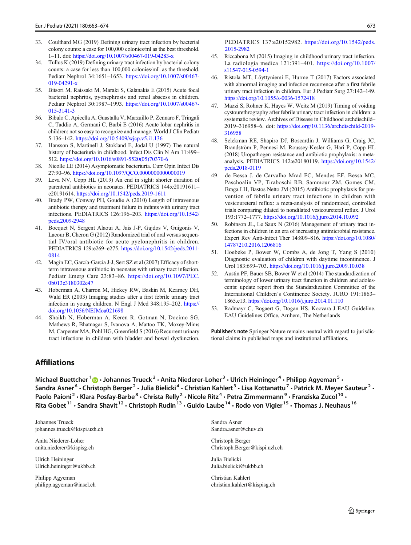- <span id="page-10-0"></span>33. Coulthard MG (2019) Defining urinary tract infection by bacterial colony cou[nts: a case for 100,000 colonies/ml as th](https://doi.org/10.5409/wjcp.v5.i1.136)e best threshold. 1–11. doi: https://doi.org/10.1007/s00467-019-04283-x
- 34. Tullus K (2019) Defining urinary tract infection by bacterial colony coun[ts: a case for less than 100,000 colonies/mL as](https://doi.org/10.1016/s0891-5520(05)70370-6) the threshold. Pediatr Nephrol 34:1651–1653. https://doi.org/10.1007/s00467- 019-04291[-x](https://doi.org/10.1097/QCO.0000000000000019)
- 35. Bitsori M, Raissaki M, Maraki S, Galanakis E (2015) Acute focal bacterial nephritis, pyonephrosis and renal abscess in children. Pediatr Nephrol 30:1987–1993. [https://doi.org/10.](https://doi.org/10.1542/peds.2019-1611)1007/s00467- 015-3141-3
- 36. Bibalo C, Apicella A, Guastalla V, Marzuillo P, Zennaro F, Tringali C, Taddio A, Germani C, Barbi E (2016) [Acute lobar nephritis in](https://doi.org/10.1542/peds.2009-2948) [children: not so e](https://doi.org/10.1542/peds.2009-2948)asy to recognize and manage. World J Clin Pediatr 5:136–142. https://doi.org/10.5409/wjcp.v5.i1.136
- 37. Hansson S, Martinell J, Stokland E, Jodal U (1997) The natural history of bacteriuria in childhood. Infect Dis Clin N Am 11:499– 512. https://doi.org/10.1016/s08[91-5520\(05\)70370-6](https://doi.org/10.1542/peds.2011-0814)
- 38. [Nicol](https://doi.org/10.1542/peds.2011-0814)le LE (2014) Asymptomatic bacteriuria. Curr Opin Infect Dis 27:90–96. https://doi.org/10.1097/QCO.0000000000000019
- 39. Leva NV, Copp HL (2019) An end in sight: shorter duration of parenteral antibiotics in neonates. [PEDIATRICS 144:e20191611](https://doi.org/10.1097/PEC.0b013e3180302c47)– [e20191614.](https://doi.org/10.1097/PEC.0b013e3180302c47) https://doi.org/10.1542/peds.2019-1611
- 40. Brady PW, Conway PH, Goudie A (2010) Length of intravenous antibiotic therapy and treatment failure in infants with urinary tract infections. PEDIATRICS 126:196–203. https://doi.org/1[0.1542/](https://doi.org/10.1056/NEJMoa021698) [peds.2009-2948](https://doi.org/10.1056/NEJMoa021698)
- 41. Bocquet N, Sergent Alaoui A, Jais J-P, Gajdos V, Guigonis V, Lacour B, Cheron G (2012) Randomized trial of oral versus sequential IV/oral antibiotic for acute pyelonephritis in children. PEDIATRICS 129:e269–e275. https://doi.org/10.1542/peds.2011- 0814
- 42. [Magín EC,](https://doi.org/10.1542/peds.2015-2982) García-García J-J, Sert SZ et al (2007) Efficacy of shortterm intravenous antibiotic in neonates with urinary tract infection. Pediatr Emerg Care 23:83–86. https[://doi.org/10.1097/PEC.](https://doi.org/10.1007/s11547-015-0594-1) [0b013e3180302c47](https://doi.org/10.1007/s11547-015-0594-1)
- 43. Hoberman A, Charron M, Hickey RW, Baskin M, Kearney DH, Wald ER (2003) Imaging studies after a first febrile urinary tract infection in young children. N Engl J Med 348:195–202. https:// doi.org/10.1056/NEJMoa021698
- 44. Shaikh N, Hoberman A, Keren R, Gotman N, Docimo SG, Mathews R, Bhatnagar S, Ivanova A, Mattoo TK, Moxey-Mims M, Carpenter MA, Pohl HG, Greenfield S (2016) Recurrent urinary tract infections in [chi](http://orcid.org/0000-0001-6086-6162)ldren with bladder and bowel dysfunction.

PEDIATRICS 137:e20152982. https://doi.org/10.1542/peds. [2015-2982](https://doi.org/10.1055/s-0036-1572418)

- 45. Riccabona M (2015) Imaging in childhood urinary tract infection. La radiologia medica 121:391–401. https://doi.org/10.1007/ s11547-015-0594-1
- 46. Ristola MT, Löyttynie[mi E, Hurme T \(2017\) Factors associated](https://doi.org/10.1136/archdischild-2019-316958) [with abn](https://doi.org/10.1136/archdischild-2019-316958)ormal imaging and infection recurrence after a first febrile urinary tract infection in children. Eur J Pediatr Surg 27:142–149. https://doi.org/10.1055/s-0036-1572418
- 47. Mazzi S, Rohner K, Hayes W, Weitz M (2019) Timing of voiding cystourethrography after febrile urinary tra[ct infection in children: a](https://doi.org/10.1542/peds.2018-0119) [systematic review](https://doi.org/10.1542/peds.2018-0119). Archives of Disease in Childhood archdischild– 2019–316958–6. doi: https://doi.org/10.1136/archdischild-2019- 316958
- 48. Selekman RE, Shapiro DJ, Boscardin J, Williams G, Craig JC, Brandström P, Pennesi M, Roussey-Kesler G, Hari P, Copp HL (2018) Uropathogen resistance and antibiotic prophylaxis: a metaanalysis. PEDIATRICS 142:e20180119. https://doi.org/10.1542/ peds.2018-0119
- 49. de Bessa J, de Carvalho Mrad FC, Mendes EF, Bessa MC, Paschoalin VP, Tiraboschi RB, Sammour ZM, Gomes CM, Braga LH, Bastos Netto JM (2015) Antibi[otic prophylaxis for pre](https://doi.org/10.1080/14787210.2016.1206816)[vention of febrile urin](https://doi.org/10.1080/14787210.2016.1206816)ary tract infections in children with vesicoureteral reflux: a meta-analysis of randomized, controlled trials comparing dilated to nondilated vesicoureteral reflux. J Urol 193:1772–1777. htt[ps://doi.org/10.1016/j.juro.2014.10.092](https://doi.org/10.1016/j.juro.2009.10.038)
- 50. Robinson JL, Le Saux N (2016) Management of urinary tract infections in children in an era of increasing antimicrobial resistance. Expert Rev Anti-Infect Ther 14:809–816. https://doi.org/10.1080/ 14787210.2016.1206816
- 51. Hoebeke [P, Bower W, Combs A, de Jong T, Ya](https://doi.org/10.1016/j.juro.2014.01.110)ng S (2010) Diagnostic evaluation of children with daytime incontinence. J Urol 183:699–703. https://doi.org/10.1016/j.juro.2009.10.038
- 52. Austin PF, Bauer SB, Bower W et al (2014) The standardization of terminology of lower urinary tract function in children and adolescents: update report from the Standardization Committee of the International Children's Continence Society. JURO 191:1863– 1865.e13. https://doi.org/10.1016/j.juro.2014.01.110
- 53. Radmayr C, Bogaert G, Dogan HS, Kocvara J EAU Guideline. EAU Guidelines Office, Arnhem, The Netherlands

Publisher's note Springer Nature remains neutral with regard to jurisdictional claims in published maps and institutional affiliations.

### Affiliations

Michael Buettcher  $1 \oplus \cdot$  Johannes Trueck<sup>2</sup>  $\cdot$  Anita Niederer-Loher<sup>3</sup>  $\cdot$  Ulrich Heininger<sup>4</sup>  $\cdot$  Philipp Agyeman<sup>5</sup>  $\cdot$ Sandra Asner<sup>6</sup> • Christoph Berger<sup>2</sup> • Julia Bielicki<sup>4</sup> • Christian Kahlert<sup>3</sup> • Lisa Kottanattu<sup>7</sup> • Patrick M. Meyer Sauteur<sup>2</sup> • Paolo Paioni<sup>2</sup> • Klara Posfay-Barbe<sup>8</sup> • Christa Relly<sup>2</sup> • Nicole Ritz<sup>4</sup> • Petra Zimmermann<sup>9</sup> • Franziska Zucol<sup>10</sup> • Rita Gobet<sup>11</sup> • Sandra Shavit<sup>12</sup> • Christoph Rudin<sup>13</sup> • Guido Laube<sup>14</sup> • Rodo von Vigier<sup>15</sup> • Thomas J. Neuhaus<sup>16</sup>

Johannes Trueck johannes.trueck@kispi.uzh.ch

Anita Niederer-Loher anita.niederer@kispisg.ch

Ulrich Heininger Ulrich.heininger@ukbb.ch

Philipp Agyeman philipp.agyeman@insel.ch Sandra Asner Sandra.asner@chuv.ch

Christoph Berger Christoph.Berger@kispi.uzh.ch

Julia Bielicki Julia.bielicki@ukbb.ch

Christian Kahlert christian.kahlert@kispisg.ch